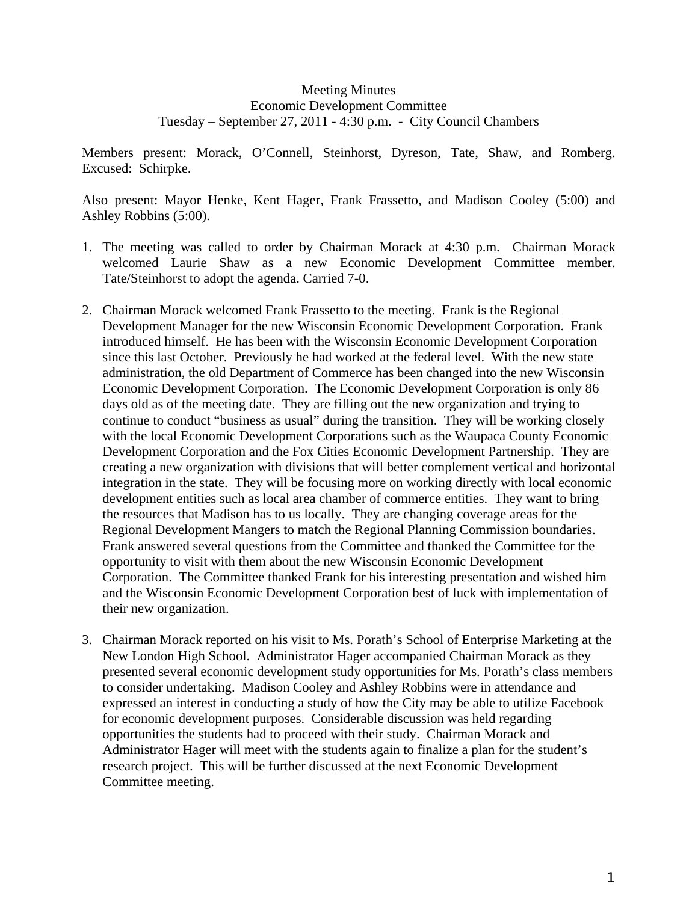## Meeting Minutes Economic Development Committee Tuesday – September 27, 2011 - 4:30 p.m. - City Council Chambers

Members present: Morack, O'Connell, Steinhorst, Dyreson, Tate, Shaw, and Romberg. Excused: Schirpke.

Also present: Mayor Henke, Kent Hager, Frank Frassetto, and Madison Cooley (5:00) and Ashley Robbins (5:00).

- 1. The meeting was called to order by Chairman Morack at 4:30 p.m. Chairman Morack welcomed Laurie Shaw as a new Economic Development Committee member. Tate/Steinhorst to adopt the agenda. Carried 7-0.
- 2. Chairman Morack welcomed Frank Frassetto to the meeting. Frank is the Regional Development Manager for the new Wisconsin Economic Development Corporation. Frank introduced himself. He has been with the Wisconsin Economic Development Corporation since this last October. Previously he had worked at the federal level. With the new state administration, the old Department of Commerce has been changed into the new Wisconsin Economic Development Corporation. The Economic Development Corporation is only 86 days old as of the meeting date. They are filling out the new organization and trying to continue to conduct "business as usual" during the transition. They will be working closely with the local Economic Development Corporations such as the Waupaca County Economic Development Corporation and the Fox Cities Economic Development Partnership. They are creating a new organization with divisions that will better complement vertical and horizontal integration in the state. They will be focusing more on working directly with local economic development entities such as local area chamber of commerce entities. They want to bring the resources that Madison has to us locally. They are changing coverage areas for the Regional Development Mangers to match the Regional Planning Commission boundaries. Frank answered several questions from the Committee and thanked the Committee for the opportunity to visit with them about the new Wisconsin Economic Development Corporation. The Committee thanked Frank for his interesting presentation and wished him and the Wisconsin Economic Development Corporation best of luck with implementation of their new organization.
- 3. Chairman Morack reported on his visit to Ms. Porath's School of Enterprise Marketing at the New London High School. Administrator Hager accompanied Chairman Morack as they presented several economic development study opportunities for Ms. Porath's class members to consider undertaking. Madison Cooley and Ashley Robbins were in attendance and expressed an interest in conducting a study of how the City may be able to utilize Facebook for economic development purposes. Considerable discussion was held regarding opportunities the students had to proceed with their study. Chairman Morack and Administrator Hager will meet with the students again to finalize a plan for the student's research project. This will be further discussed at the next Economic Development Committee meeting.